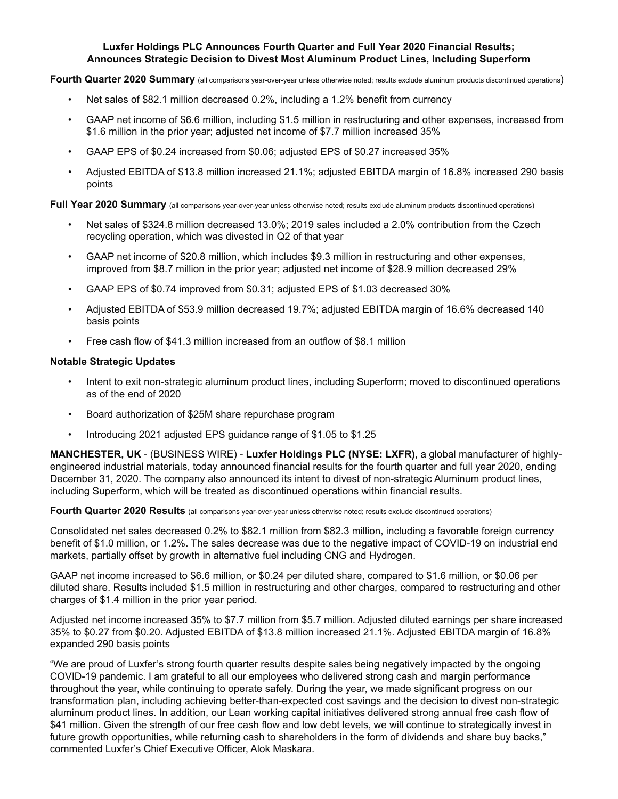## **Luxfer Holdings PLC Announces Fourth Quarter and Full Year 2020 Financial Results; Announces Strategic Decision to Divest Most Aluminum Product Lines, Including Superform**

#### **Fourth Quarter 2020 Summary** (all comparisons year-over-year unless otherwise noted; results exclude aluminum products discontinued operations)

- Net sales of \$82.1 million decreased 0.2%, including a 1.2% benefit from currency
- GAAP net income of \$6.6 million, including \$1.5 million in restructuring and other expenses, increased from \$1.6 million in the prior year; adjusted net income of \$7.7 million increased 35%
- GAAP EPS of \$0.24 increased from \$0.06; adjusted EPS of \$0.27 increased 35%
- Adjusted EBITDA of \$13.8 million increased 21.1%; adjusted EBITDA margin of 16.8% increased 290 basis points

### Full Year 2020 Summary (all comparisons year-over-year unless otherwise noted; results exclude aluminum products discontinued operations)

- Net sales of \$324.8 million decreased 13.0%; 2019 sales included a 2.0% contribution from the Czech recycling operation, which was divested in Q2 of that year
- GAAP net income of \$20.8 million, which includes \$9.3 million in restructuring and other expenses, improved from \$8.7 million in the prior year; adjusted net income of \$28.9 million decreased 29%
- GAAP EPS of \$0.74 improved from \$0.31; adjusted EPS of \$1.03 decreased 30%
- Adjusted EBITDA of \$53.9 million decreased 19.7%; adjusted EBITDA margin of 16.6% decreased 140 basis points
- Free cash flow of \$41.3 million increased from an outflow of \$8.1 million

#### **Notable Strategic Updates**

- Intent to exit non-strategic aluminum product lines, including Superform; moved to discontinued operations as of the end of 2020
- Board authorization of \$25M share repurchase program
- Introducing 2021 adjusted EPS guidance range of \$1.05 to \$1.25

**MANCHESTER, UK** - (BUSINESS WIRE) - **Luxfer Holdings PLC (NYSE: LXFR)**, a global manufacturer of highlyengineered industrial materials, today announced financial results for the fourth quarter and full year 2020, ending December 31, 2020. The company also announced its intent to divest of non-strategic Aluminum product lines, including Superform, which will be treated as discontinued operations within financial results.

#### **Fourth Quarter 2020 Results** (all comparisons year-over-year unless otherwise noted; results exclude discontinued operations)

Consolidated net sales decreased 0.2% to \$82.1 million from \$82.3 million, including a favorable foreign currency benefit of \$1.0 million, or 1.2%. The sales decrease was due to the negative impact of COVID-19 on industrial end markets, partially offset by growth in alternative fuel including CNG and Hydrogen.

GAAP net income increased to \$6.6 million, or \$0.24 per diluted share, compared to \$1.6 million, or \$0.06 per diluted share. Results included \$1.5 million in restructuring and other charges, compared to restructuring and other charges of \$1.4 million in the prior year period.

Adjusted net income increased 35% to \$7.7 million from \$5.7 million. Adjusted diluted earnings per share increased 35% to \$0.27 from \$0.20. Adjusted EBITDA of \$13.8 million increased 21.1%. Adjusted EBITDA margin of 16.8% expanded 290 basis points

"We are proud of Luxfer's strong fourth quarter results despite sales being negatively impacted by the ongoing COVID-19 pandemic. I am grateful to all our employees who delivered strong cash and margin performance throughout the year, while continuing to operate safely. During the year, we made significant progress on our transformation plan, including achieving better-than-expected cost savings and the decision to divest non-strategic aluminum product lines. In addition, our Lean working capital initiatives delivered strong annual free cash flow of \$41 million. Given the strength of our free cash flow and low debt levels, we will continue to strategically invest in future growth opportunities, while returning cash to shareholders in the form of dividends and share buy backs," commented Luxfer's Chief Executive Officer, Alok Maskara.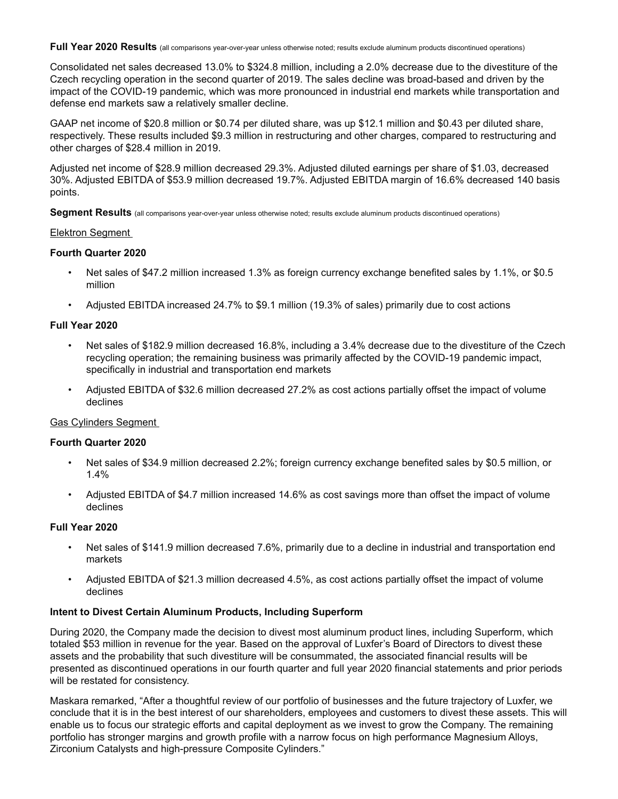Full Year 2020 Results (all comparisons year-over-year unless otherwise noted; results exclude aluminum products discontinued operations)

Consolidated net sales decreased 13.0% to \$324.8 million, including a 2.0% decrease due to the divestiture of the Czech recycling operation in the second quarter of 2019. The sales decline was broad-based and driven by the impact of the COVID-19 pandemic, which was more pronounced in industrial end markets while transportation and defense end markets saw a relatively smaller decline.

GAAP net income of \$20.8 million or \$0.74 per diluted share, was up \$12.1 million and \$0.43 per diluted share, respectively. These results included \$9.3 million in restructuring and other charges, compared to restructuring and other charges of \$28.4 million in 2019.

Adjusted net income of \$28.9 million decreased 29.3%. Adjusted diluted earnings per share of \$1.03, decreased 30%. Adjusted EBITDA of \$53.9 million decreased 19.7%. Adjusted EBITDA margin of 16.6% decreased 140 basis points.

**Segment Results** (all comparisons year-over-year unless otherwise noted; results exclude aluminum products discontinued operations)

#### Elektron Segment

#### **Fourth Quarter 2020**

- Net sales of \$47.2 million increased 1.3% as foreign currency exchange benefited sales by 1.1%, or \$0.5 million
- Adjusted EBITDA increased 24.7% to \$9.1 million (19.3% of sales) primarily due to cost actions

## **Full Year 2020**

- Net sales of \$182.9 million decreased 16.8%, including a 3.4% decrease due to the divestiture of the Czech recycling operation; the remaining business was primarily affected by the COVID-19 pandemic impact, specifically in industrial and transportation end markets
- Adjusted EBITDA of \$32.6 million decreased 27.2% as cost actions partially offset the impact of volume declines

### Gas Cylinders Segment

#### **Fourth Quarter 2020**

- Net sales of \$34.9 million decreased 2.2%; foreign currency exchange benefited sales by \$0.5 million, or 1.4%
- Adjusted EBITDA of \$4.7 million increased 14.6% as cost savings more than offset the impact of volume declines

## **Full Year 2020**

- Net sales of \$141.9 million decreased 7.6%, primarily due to a decline in industrial and transportation end markets
- Adjusted EBITDA of \$21.3 million decreased 4.5%, as cost actions partially offset the impact of volume declines

#### **Intent to Divest Certain Aluminum Products, Including Superform**

During 2020, the Company made the decision to divest most aluminum product lines, including Superform, which totaled \$53 million in revenue for the year. Based on the approval of Luxfer's Board of Directors to divest these assets and the probability that such divestiture will be consummated, the associated financial results will be presented as discontinued operations in our fourth quarter and full year 2020 financial statements and prior periods will be restated for consistency.

Maskara remarked, "After a thoughtful review of our portfolio of businesses and the future trajectory of Luxfer, we conclude that it is in the best interest of our shareholders, employees and customers to divest these assets. This will enable us to focus our strategic efforts and capital deployment as we invest to grow the Company. The remaining portfolio has stronger margins and growth profile with a narrow focus on high performance Magnesium Alloys, Zirconium Catalysts and high-pressure Composite Cylinders."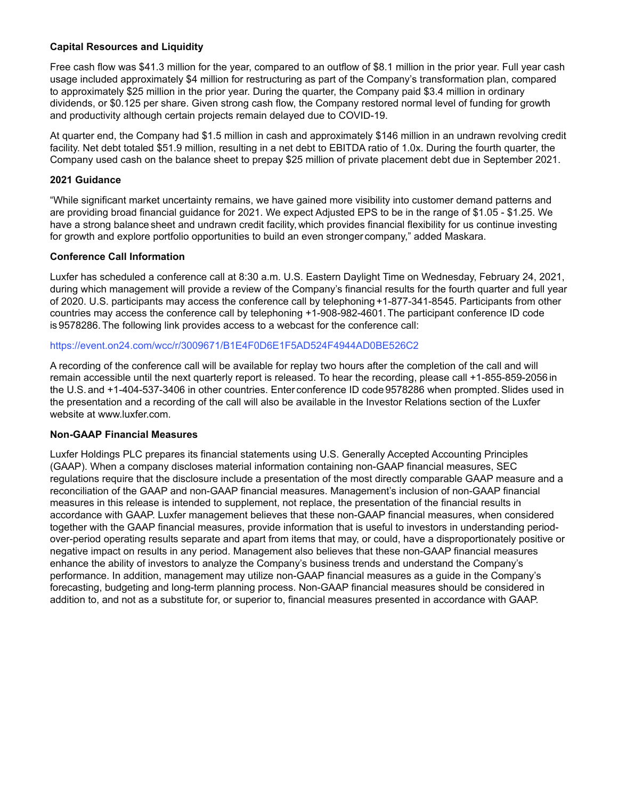## **Capital Resources and Liquidity**

Free cash flow was \$41.3 million for the year, compared to an outflow of \$8.1 million in the prior year. Full year cash usage included approximately \$4 million for restructuring as part of the Company's transformation plan, compared to approximately \$25 million in the prior year. During the quarter, the Company paid \$3.4 million in ordinary dividends, or \$0.125 per share. Given strong cash flow, the Company restored normal level of funding for growth and productivity although certain projects remain delayed due to COVID-19.

At quarter end, the Company had \$1.5 million in cash and approximately \$146 million in an undrawn revolving credit facility. Net debt totaled \$51.9 million, resulting in a net debt to EBITDA ratio of 1.0x. During the fourth quarter, the Company used cash on the balance sheet to prepay \$25 million of private placement debt due in September 2021.

### **2021 Guidance**

"While significant market uncertainty remains, we have gained more visibility into customer demand patterns and are providing broad financial guidance for 2021. We expect Adjusted EPS to be in the range of \$1.05 - \$1.25. We have a strong balance sheet and undrawn credit facility, which provides financial flexibility for us continue investing for growth and explore portfolio opportunities to build an even stronger company," added Maskara.

## **Conference Call Information**

Luxfer has scheduled a conference call at 8:30 a.m. U.S. Eastern Daylight Time on Wednesday, February 24, 2021, during which management will provide a review of the Company's financial results for the fourth quarter and full year of 2020. U.S. participants may access the conference call by telephoning +1-877-341-8545. Participants from other countries may access the conference call by telephoning +1-908-982-4601.The participant conference ID code is9578286.The following link provides access to a webcast for the conference call:

## https://event.on24.com/wcc/r/3009671/B1E4F0D6E1F5AD524F4944AD0BE526C2

A recording of the conference call will be available for replay two hours after the completion of the call and will remain accessible until the next quarterly report is released. To hear the recording, please call +1-855-859-2056in the U.S. and +1-404-537-3406 in other countries. Enter conference ID code 9578286 when prompted. Slides used in the presentation and a recording of the call will also be available in the Investor Relations section of the Luxfer website at www.luxfer.com.

#### **Non-GAAP Financial Measures**

Luxfer Holdings PLC prepares its financial statements using U.S. Generally Accepted Accounting Principles (GAAP). When a company discloses material information containing non-GAAP financial measures, SEC regulations require that the disclosure include a presentation of the most directly comparable GAAP measure and a reconciliation of the GAAP and non-GAAP financial measures. Management's inclusion of non-GAAP financial measures in this release is intended to supplement, not replace, the presentation of the financial results in accordance with GAAP. Luxfer management believes that these non-GAAP financial measures, when considered together with the GAAP financial measures, provide information that is useful to investors in understanding periodover-period operating results separate and apart from items that may, or could, have a disproportionately positive or negative impact on results in any period. Management also believes that these non-GAAP financial measures enhance the ability of investors to analyze the Company's business trends and understand the Company's performance. In addition, management may utilize non-GAAP financial measures as a guide in the Company's forecasting, budgeting and long-term planning process. Non-GAAP financial measures should be considered in addition to, and not as a substitute for, or superior to, financial measures presented in accordance with GAAP.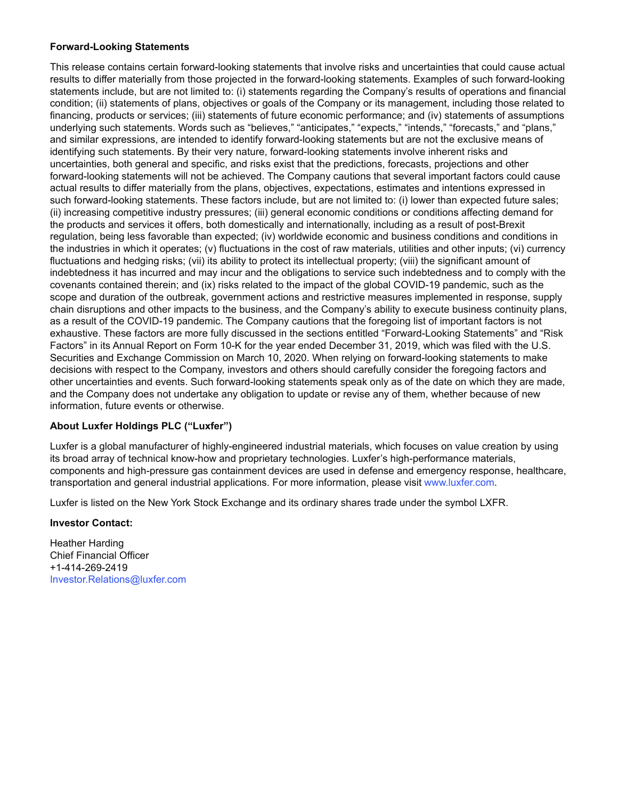## **Forward-Looking Statements**

This release contains certain forward-looking statements that involve risks and uncertainties that could cause actual results to differ materially from those projected in the forward-looking statements. Examples of such forward-looking statements include, but are not limited to: (i) statements regarding the Company's results of operations and financial condition; (ii) statements of plans, objectives or goals of the Company or its management, including those related to financing, products or services; (iii) statements of future economic performance; and (iv) statements of assumptions underlying such statements. Words such as "believes," "anticipates," "expects," "intends," "forecasts," and "plans," and similar expressions, are intended to identify forward-looking statements but are not the exclusive means of identifying such statements. By their very nature, forward-looking statements involve inherent risks and uncertainties, both general and specific, and risks exist that the predictions, forecasts, projections and other forward-looking statements will not be achieved. The Company cautions that several important factors could cause actual results to differ materially from the plans, objectives, expectations, estimates and intentions expressed in such forward-looking statements. These factors include, but are not limited to: (i) lower than expected future sales; (ii) increasing competitive industry pressures; (iii) general economic conditions or conditions affecting demand for the products and services it offers, both domestically and internationally, including as a result of post-Brexit regulation, being less favorable than expected; (iv) worldwide economic and business conditions and conditions in the industries in which it operates; (v) fluctuations in the cost of raw materials, utilities and other inputs; (vi) currency fluctuations and hedging risks; (vii) its ability to protect its intellectual property; (viii) the significant amount of indebtedness it has incurred and may incur and the obligations to service such indebtedness and to comply with the covenants contained therein; and (ix) risks related to the impact of the global COVID-19 pandemic, such as the scope and duration of the outbreak, government actions and restrictive measures implemented in response, supply chain disruptions and other impacts to the business, and the Company's ability to execute business continuity plans, as a result of the COVID-19 pandemic. The Company cautions that the foregoing list of important factors is not exhaustive. These factors are more fully discussed in the sections entitled "Forward-Looking Statements" and "Risk Factors" in its Annual Report on Form 10-K for the year ended December 31, 2019, which was filed with the U.S. Securities and Exchange Commission on March 10, 2020. When relying on forward-looking statements to make decisions with respect to the Company, investors and others should carefully consider the foregoing factors and other uncertainties and events. Such forward-looking statements speak only as of the date on which they are made, and the Company does not undertake any obligation to update or revise any of them, whether because of new information, future events or otherwise.

## **About Luxfer Holdings PLC ("Luxfer")**

Luxfer is a global manufacturer of highly-engineered industrial materials, which focuses on value creation by using its broad array of technical know-how and proprietary technologies. Luxfer's high-performance materials, components and high-pressure gas containment devices are used in defense and emergency response, healthcare, transportation and general industrial applications. For more information, please visit www.luxfer.com.

Luxfer is listed on the New York Stock Exchange and its ordinary shares trade under the symbol LXFR.

## **Investor Contact:**

Heather Harding Chief Financial Officer +1-414-269-2419 Investor.Relations@luxfer.com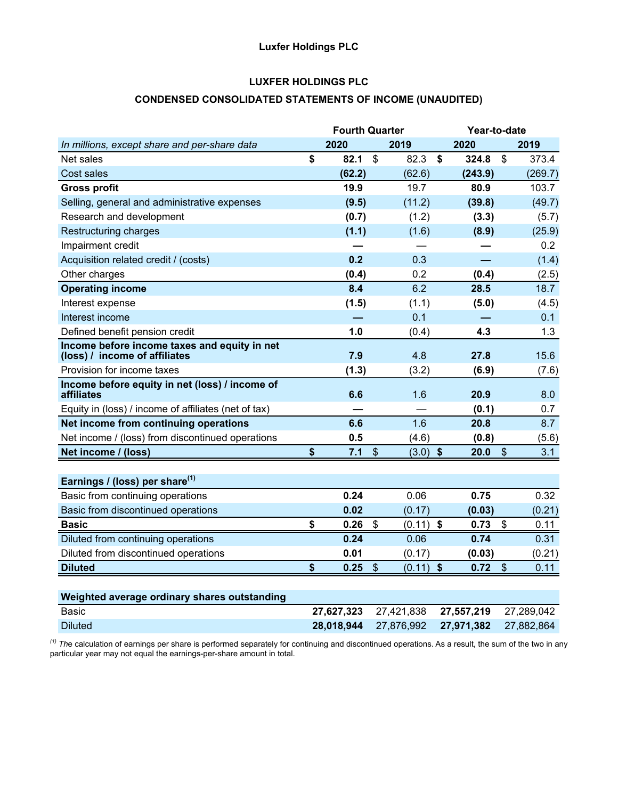# **Luxfer Holdings PLC**

# **LUXFER HOLDINGS PLC**

## **CONDENSED CONSOLIDATED STATEMENTS OF INCOME (UNAUDITED)**

|                                                                               | <b>Fourth Quarter</b> |                           |             | Year-to-date |                           |            |
|-------------------------------------------------------------------------------|-----------------------|---------------------------|-------------|--------------|---------------------------|------------|
| In millions, except share and per-share data                                  | 2020                  |                           | 2019        | 2020         |                           | 2019       |
| Net sales                                                                     | \$<br>82.1            | $\boldsymbol{\mathsf{S}}$ | 82.3        | \$<br>324.8  | \$                        | 373.4      |
| Cost sales                                                                    | (62.2)                |                           | (62.6)      | (243.9)      |                           | (269.7)    |
| <b>Gross profit</b>                                                           | 19.9                  |                           | 19.7        | 80.9         |                           | 103.7      |
| Selling, general and administrative expenses                                  | (9.5)                 |                           | (11.2)      | (39.8)       |                           | (49.7)     |
| Research and development                                                      | (0.7)                 |                           | (1.2)       | (3.3)        |                           | (5.7)      |
| Restructuring charges                                                         | (1.1)                 |                           | (1.6)       | (8.9)        |                           | (25.9)     |
| Impairment credit                                                             |                       |                           |             |              |                           | 0.2        |
| Acquisition related credit / (costs)                                          | 0.2                   |                           | 0.3         |              |                           | (1.4)      |
| Other charges                                                                 | (0.4)                 |                           | 0.2         | (0.4)        |                           | (2.5)      |
| <b>Operating income</b>                                                       | 8.4                   |                           | 6.2         | 28.5         |                           | 18.7       |
| Interest expense                                                              | (1.5)                 |                           | (1.1)       | (5.0)        |                           | (4.5)      |
| Interest income                                                               |                       |                           | 0.1         |              |                           | 0.1        |
| Defined benefit pension credit                                                | 1.0                   |                           | (0.4)       | 4.3          |                           | 1.3        |
| Income before income taxes and equity in net<br>(loss) / income of affiliates | 7.9                   |                           | 4.8         | 27.8         |                           | 15.6       |
| Provision for income taxes                                                    | (1.3)                 |                           | (3.2)       | (6.9)        |                           | (7.6)      |
| Income before equity in net (loss) / income of<br>affiliates                  | 6.6                   |                           | 1.6         | 20.9         |                           | 8.0        |
| Equity in (loss) / income of affiliates (net of tax)                          |                       |                           |             | (0.1)        |                           | 0.7        |
| Net income from continuing operations                                         | 6.6                   |                           | 1.6         | 20.8         |                           | 8.7        |
| Net income / (loss) from discontinued operations                              | 0.5                   |                           | (4.6)       | (0.8)        |                           | (5.6)      |
| Net income / (loss)                                                           | \$<br>7.1             | $\sqrt[6]{\frac{1}{2}}$   | $(3.0)$ \$  | 20.0         | $\boldsymbol{\mathsf{S}}$ | 3.1        |
|                                                                               |                       |                           |             |              |                           |            |
| Earnings / (loss) per share <sup>(1)</sup>                                    |                       |                           |             |              |                           |            |
| Basic from continuing operations                                              | 0.24                  |                           | 0.06        | 0.75         |                           | 0.32       |
| Basic from discontinued operations                                            | 0.02                  |                           | (0.17)      | (0.03)       |                           | (0.21)     |
| <b>Basic</b>                                                                  | \$<br>0.26            | $\mathbb{S}$              | $(0.11)$ \$ | 0.73         | \$                        | 0.11       |
| Diluted from continuing operations                                            | 0.24                  |                           | 0.06        | 0.74         |                           | 0.31       |
| Diluted from discontinued operations                                          | 0.01                  |                           | (0.17)      | (0.03)       |                           | (0.21)     |
| <b>Diluted</b>                                                                | \$<br>0.25            | $\frac{1}{2}$             | $(0.11)$ \$ | 0.72         | $\frac{1}{2}$             | 0.11       |
|                                                                               |                       |                           |             |              |                           |            |
| Weighted average ordinary shares outstanding                                  |                       |                           |             |              |                           |            |
| Basic                                                                         | 27,627,323            |                           | 27,421,838  | 27,557,219   |                           | 27,289,042 |
| <b>Diluted</b>                                                                | 28,018,944            |                           | 27,876,992  | 27,971,382   |                           | 27,882,864 |

*(1) Th*e calculation of earnings per share is performed separately for continuing and discontinued operations. As a result, the sum of the two in any particular year may not equal the earnings-per-share amount in total.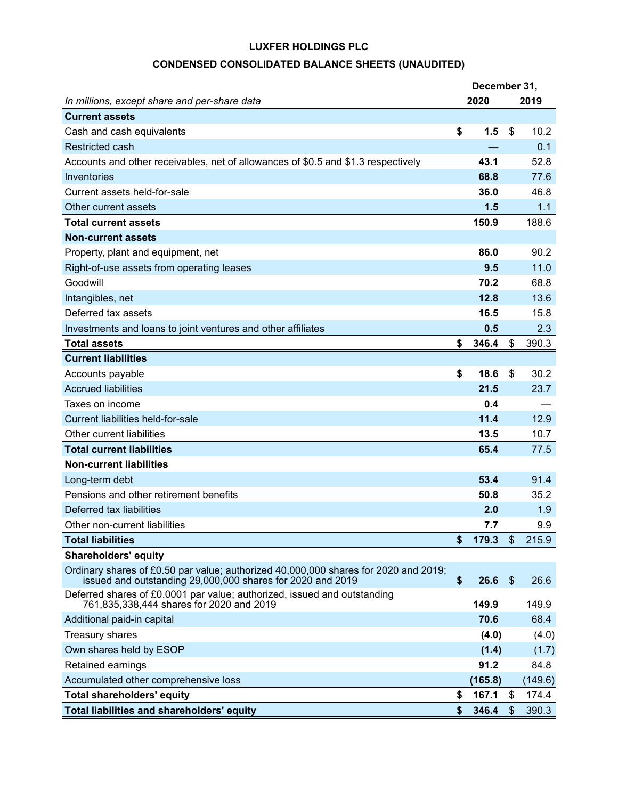# **CONDENSED CONSOLIDATED BALANCE SHEETS (UNAUDITED)**

| December 31,                                                                                                                                      |    |         |                           |         |  |  |  |  |  |  |
|---------------------------------------------------------------------------------------------------------------------------------------------------|----|---------|---------------------------|---------|--|--|--|--|--|--|
| In millions, except share and per-share data                                                                                                      |    | 2020    |                           | 2019    |  |  |  |  |  |  |
| <b>Current assets</b>                                                                                                                             |    |         |                           |         |  |  |  |  |  |  |
| Cash and cash equivalents                                                                                                                         | \$ | 1.5     | \$                        | 10.2    |  |  |  |  |  |  |
| <b>Restricted cash</b>                                                                                                                            |    |         |                           | 0.1     |  |  |  |  |  |  |
| Accounts and other receivables, net of allowances of \$0.5 and \$1.3 respectively                                                                 |    | 43.1    |                           | 52.8    |  |  |  |  |  |  |
| Inventories                                                                                                                                       |    | 68.8    |                           | 77.6    |  |  |  |  |  |  |
| Current assets held-for-sale                                                                                                                      |    | 36.0    |                           | 46.8    |  |  |  |  |  |  |
| Other current assets                                                                                                                              |    | 1.5     |                           | 1.1     |  |  |  |  |  |  |
| <b>Total current assets</b>                                                                                                                       |    | 150.9   |                           | 188.6   |  |  |  |  |  |  |
| <b>Non-current assets</b>                                                                                                                         |    |         |                           |         |  |  |  |  |  |  |
| Property, plant and equipment, net                                                                                                                |    | 86.0    |                           | 90.2    |  |  |  |  |  |  |
| Right-of-use assets from operating leases                                                                                                         |    | 9.5     |                           | 11.0    |  |  |  |  |  |  |
| Goodwill                                                                                                                                          |    | 70.2    |                           | 68.8    |  |  |  |  |  |  |
| Intangibles, net                                                                                                                                  |    | 12.8    |                           | 13.6    |  |  |  |  |  |  |
| Deferred tax assets                                                                                                                               |    | 16.5    |                           | 15.8    |  |  |  |  |  |  |
| Investments and loans to joint ventures and other affiliates                                                                                      |    | 0.5     |                           | 2.3     |  |  |  |  |  |  |
| <b>Total assets</b>                                                                                                                               | \$ | 346.4   | \$                        | 390.3   |  |  |  |  |  |  |
| <b>Current liabilities</b>                                                                                                                        |    |         |                           |         |  |  |  |  |  |  |
| Accounts payable                                                                                                                                  | \$ | 18.6    | \$                        | 30.2    |  |  |  |  |  |  |
| <b>Accrued liabilities</b>                                                                                                                        |    | 21.5    |                           | 23.7    |  |  |  |  |  |  |
| Taxes on income                                                                                                                                   |    | 0.4     |                           |         |  |  |  |  |  |  |
| Current liabilities held-for-sale                                                                                                                 |    | 11.4    |                           | 12.9    |  |  |  |  |  |  |
| Other current liabilities                                                                                                                         |    | 13.5    |                           | 10.7    |  |  |  |  |  |  |
| <b>Total current liabilities</b>                                                                                                                  |    | 65.4    |                           | 77.5    |  |  |  |  |  |  |
| <b>Non-current liabilities</b>                                                                                                                    |    |         |                           |         |  |  |  |  |  |  |
| Long-term debt                                                                                                                                    |    | 53.4    |                           | 91.4    |  |  |  |  |  |  |
| Pensions and other retirement benefits                                                                                                            |    | 50.8    |                           | 35.2    |  |  |  |  |  |  |
| Deferred tax liabilities                                                                                                                          |    | 2.0     |                           | 1.9     |  |  |  |  |  |  |
| Other non-current liabilities                                                                                                                     |    | 7.7     |                           | 9.9     |  |  |  |  |  |  |
| <b>Total liabilities</b>                                                                                                                          | \$ | 179.3   | \$                        | 215.9   |  |  |  |  |  |  |
| <b>Shareholders' equity</b>                                                                                                                       |    |         |                           |         |  |  |  |  |  |  |
| Ordinary shares of £0.50 par value; authorized 40,000,000 shares for 2020 and 2019;<br>issued and outstanding 29,000,000 shares for 2020 and 2019 | \$ | 26.6    | $\boldsymbol{\mathsf{S}}$ | 26.6    |  |  |  |  |  |  |
| Deferred shares of £0.0001 par value; authorized, issued and outstanding<br>761,835,338,444 shares for 2020 and 2019                              |    | 149.9   |                           | 149.9   |  |  |  |  |  |  |
| Additional paid-in capital                                                                                                                        |    | 70.6    |                           | 68.4    |  |  |  |  |  |  |
| Treasury shares                                                                                                                                   |    | (4.0)   |                           | (4.0)   |  |  |  |  |  |  |
| Own shares held by ESOP                                                                                                                           |    | (1.4)   |                           | (1.7)   |  |  |  |  |  |  |
| Retained earnings                                                                                                                                 |    | 91.2    |                           | 84.8    |  |  |  |  |  |  |
| Accumulated other comprehensive loss                                                                                                              |    | (165.8) |                           | (149.6) |  |  |  |  |  |  |
| <b>Total shareholders' equity</b>                                                                                                                 | \$ | 167.1   | \$                        | 174.4   |  |  |  |  |  |  |
| <b>Total liabilities and shareholders' equity</b>                                                                                                 | \$ | 346.4   | $\boldsymbol{\mathsf{S}}$ | 390.3   |  |  |  |  |  |  |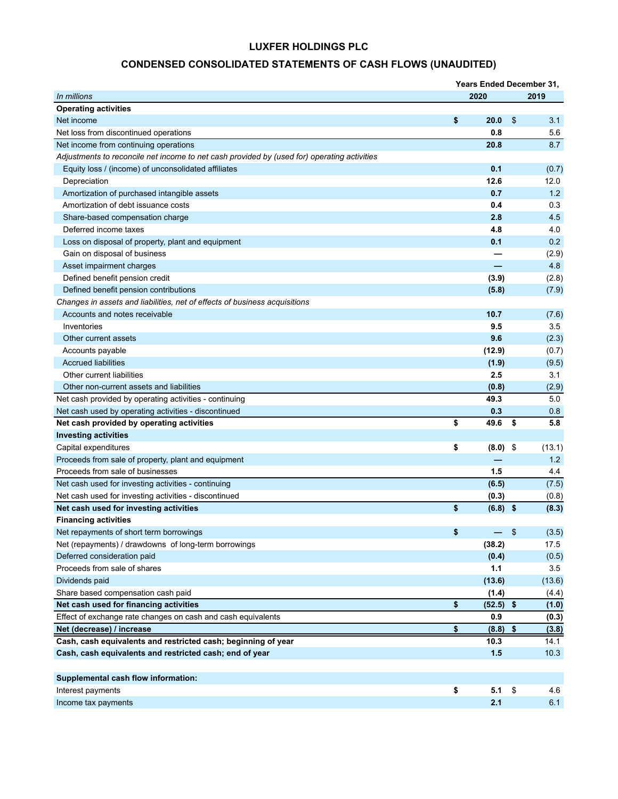# **CONDENSED CONSOLIDATED STATEMENTS OF CASH FLOWS (UNAUDITED)**

|                                                                                             | <b>Years Ended December 31,</b> |                           |        |
|---------------------------------------------------------------------------------------------|---------------------------------|---------------------------|--------|
| In millions                                                                                 | 2020                            |                           | 2019   |
| <b>Operating activities</b>                                                                 |                                 |                           |        |
| Net income                                                                                  | \$<br>20.0                      | \$                        | 3.1    |
| Net loss from discontinued operations                                                       | 0.8                             |                           | 5.6    |
| Net income from continuing operations                                                       | 20.8                            |                           | 8.7    |
| Adjustments to reconcile net income to net cash provided by (used for) operating activities |                                 |                           |        |
| Equity loss / (income) of unconsolidated affiliates                                         | 0.1                             |                           | (0.7)  |
| Depreciation                                                                                | 12.6                            |                           | 12.0   |
| Amortization of purchased intangible assets                                                 | 0.7                             |                           | 1.2    |
| Amortization of debt issuance costs                                                         | 0.4                             |                           | 0.3    |
| Share-based compensation charge                                                             | 2.8                             |                           | 4.5    |
| Deferred income taxes                                                                       | 4.8                             |                           | 4.0    |
| Loss on disposal of property, plant and equipment                                           | 0.1                             |                           | 0.2    |
| Gain on disposal of business                                                                |                                 |                           | (2.9)  |
| Asset impairment charges                                                                    |                                 |                           | 4.8    |
| Defined benefit pension credit                                                              | (3.9)                           |                           | (2.8)  |
| Defined benefit pension contributions                                                       | (5.8)                           |                           | (7.9)  |
| Changes in assets and liabilities, net of effects of business acquisitions                  |                                 |                           |        |
| Accounts and notes receivable                                                               | 10.7                            |                           | (7.6)  |
| Inventories                                                                                 | 9.5                             |                           | 3.5    |
| Other current assets                                                                        | 9.6                             |                           | (2.3)  |
| Accounts payable                                                                            | (12.9)                          |                           | (0.7)  |
| <b>Accrued liabilities</b>                                                                  | (1.9)                           |                           | (9.5)  |
| Other current liabilities                                                                   | 2.5                             |                           | 3.1    |
| Other non-current assets and liabilities                                                    | (0.8)                           |                           | (2.9)  |
| Net cash provided by operating activities - continuing                                      | 49.3                            |                           | 5.0    |
| Net cash used by operating activities - discontinued                                        | 0.3                             |                           | 0.8    |
| Net cash provided by operating activities                                                   | \$<br>49.6                      | \$                        | 5.8    |
| <b>Investing activities</b>                                                                 |                                 |                           |        |
| Capital expenditures                                                                        | \$<br>(8.0)                     | \$                        | (13.1) |
| Proceeds from sale of property, plant and equipment                                         |                                 |                           | 1.2    |
| Proceeds from sale of businesses                                                            | 1.5                             |                           | 4.4    |
| Net cash used for investing activities - continuing                                         | (6.5)                           |                           | (7.5)  |
| Net cash used for investing activities - discontinued                                       | (0.3)                           |                           | (0.8)  |
| Net cash used for investing activities                                                      | \$<br>$(6.8)$ \$                |                           | (8.3)  |
| <b>Financing activities</b>                                                                 |                                 |                           |        |
| Net repayments of short term borrowings                                                     | \$                              | $\boldsymbol{\mathsf{S}}$ | (3.5)  |
| Net (repayments) / drawdowns of long-term borrowings                                        | (38.2)                          |                           | 17.5   |
| Deferred consideration paid                                                                 | (0.4)                           |                           | (0.5)  |
| Proceeds from sale of shares                                                                | 1.1                             |                           | 3.5    |
| Dividends paid                                                                              | (13.6)                          |                           | (13.6) |
| Share based compensation cash paid                                                          | (1.4)                           |                           | (4.4)  |
| Net cash used for financing activities                                                      | \$<br>(52.5)                    | \$                        | (1.0)  |
| Effect of exchange rate changes on cash and cash equivalents                                | 0.9                             |                           | (0.3)  |
| Net (decrease) / increase                                                                   | \$<br>(8.8)                     | \$                        | (3.8)  |
| Cash, cash equivalents and restricted cash; beginning of year                               | 10.3                            |                           | 14.1   |
| Cash, cash equivalents and restricted cash; end of year                                     | $1.5$                           |                           | 10.3   |
|                                                                                             |                                 |                           |        |
| Supplemental cash flow information:                                                         |                                 |                           |        |
| Interest payments                                                                           | \$<br>5.1                       | \$                        | 4.6    |
| Income tax payments                                                                         | 2.1                             |                           | 6.1    |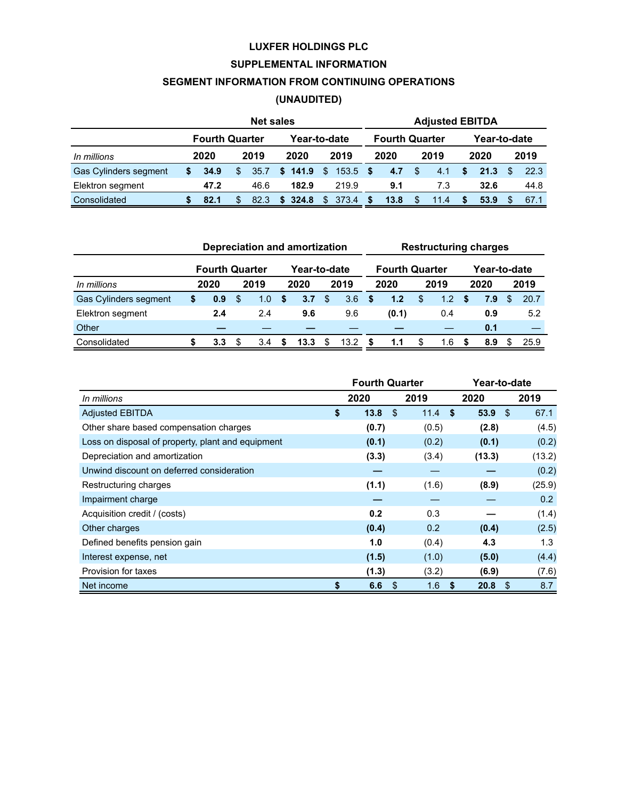# **SUPPLEMENTAL INFORMATION**

## **SEGMENT INFORMATION FROM CONTINUING OPERATIONS**

# **(UNAUDITED)**

|                       |              |                       |    | <b>Net sales</b> |             |              |      |       |      |                       |      | <b>Adjusted EBITDA</b> |      |              |      |
|-----------------------|--------------|-----------------------|----|------------------|-------------|--------------|------|-------|------|-----------------------|------|------------------------|------|--------------|------|
|                       |              | <b>Fourth Quarter</b> |    |                  |             | Year-to-date |      |       |      | <b>Fourth Quarter</b> |      |                        |      | Year-to-date |      |
| In millions           | 2019<br>2020 |                       |    |                  | 2020        |              | 2019 |       | 2020 |                       | 2019 |                        | 2020 | 2019         |      |
| Gas Cylinders segment | \$           | 34.9                  | \$ | 35.7             |             | \$141.9      | - S  | 153.5 | - \$ | 4.7                   | \$.  | 4.1                    | S.   | 21.3         | 22.3 |
| Elektron segment      |              | 47.2                  |    | 46.6             |             | 182.9        |      | 219.9 |      | 9.1                   |      | 7.3                    |      | 32.6         | 44.8 |
| Consolidated          |              | 82.1                  | \$ | 82.3             | 324.8<br>S. |              | \$   | 373.4 | S    | 13.8                  | \$   | 11.4                   |      | 53.9         | 67.1 |

|                       |   |                       |               |               |    | Depreciation and amortization |               |      |   |                       |     | <b>Restructuring charges</b> |    |              |      |
|-----------------------|---|-----------------------|---------------|---------------|----|-------------------------------|---------------|------|---|-----------------------|-----|------------------------------|----|--------------|------|
|                       |   | <b>Fourth Quarter</b> |               |               |    | Year-to-date                  |               |      |   | <b>Fourth Quarter</b> |     |                              |    | Year-to-date |      |
| In millions           |   | 2020                  | 2019          |               |    | 2020                          |               | 2019 |   | 2020                  |     | 2019                         |    | 2020         | 2019 |
| Gas Cylinders segment | S | 0.9                   | <sup>\$</sup> | 1.0           | S. | 3.7                           | <sup>\$</sup> | 3.6  |   | 1.2                   | \$. | 1.2                          | \$ | 7.9          | 20.7 |
| Elektron segment      |   | 2.4                   |               | 2.4           |    | 9.6                           |               | 9.6  |   | (0.1)                 |     | 0.4                          |    | 0.9          | 5.2  |
| Other                 |   |                       |               |               |    |                               |               |      |   |                       |     |                              |    | 0.1          |      |
| Consolidated          |   | 3.3 <sub>1</sub>      | \$.           | $3.4^{\circ}$ | S. | 13.3                          | \$.           | 13.2 | S | 1.1                   | S   | 1.6                          | -S | 8.9          | 25.9 |

|                                                   | <b>Fourth Quarter</b> |            |      | Year-to-date |           |
|---------------------------------------------------|-----------------------|------------|------|--------------|-----------|
| In millions                                       | 2020                  | 2019       | 2020 |              | 2019      |
| <b>Adjusted EBITDA</b>                            | \$<br>13.8            | \$<br>11.4 | - \$ | $53.9$ \$    | 67.1      |
| Other share based compensation charges            | (0.7)                 | (0.5)      |      | (2.8)        | (4.5)     |
| Loss on disposal of property, plant and equipment | (0.1)                 | (0.2)      |      | (0.1)        | (0.2)     |
| Depreciation and amortization                     | (3.3)                 | (3.4)      |      | (13.3)       | (13.2)    |
| Unwind discount on deferred consideration         |                       |            |      |              | (0.2)     |
| Restructuring charges                             | (1.1)                 | (1.6)      |      | (8.9)        | (25.9)    |
| Impairment charge                                 |                       |            |      |              | 0.2       |
| Acquisition credit / (costs)                      | 0.2                   | 0.3        |      |              | (1.4)     |
| Other charges                                     | (0.4)                 | 0.2        |      | (0.4)        | (2.5)     |
| Defined benefits pension gain                     | 1.0                   | (0.4)      |      | 4.3          | 1.3       |
| Interest expense, net                             | (1.5)                 | (1.0)      |      | (5.0)        | (4.4)     |
| Provision for taxes                               | (1.3)                 | (3.2)      |      | (6.9)        | (7.6)     |
| Net income                                        | \$<br>6.6             | \$<br>1.6  | \$   | 20.8         | \$<br>8.7 |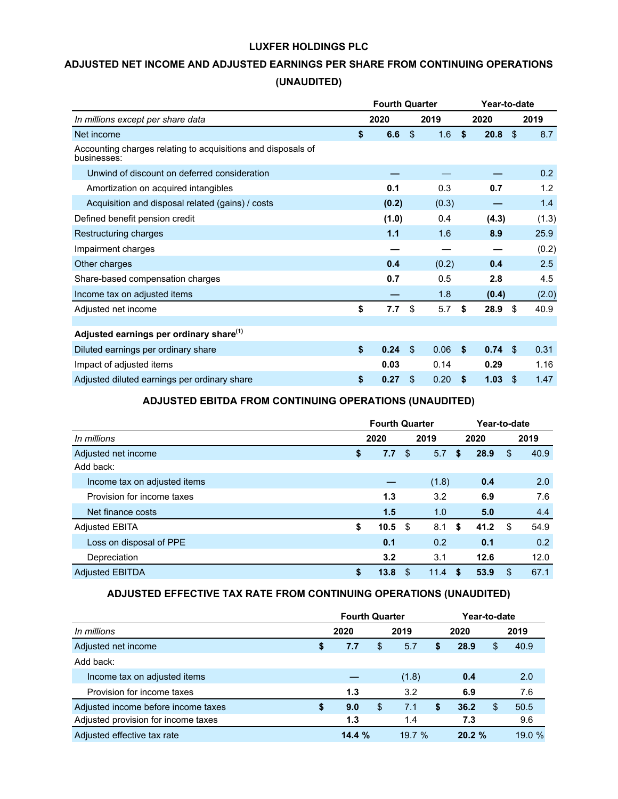# **ADJUSTED NET INCOME AND ADJUSTED EARNINGS PER SHARE FROM CONTINUING OPERATIONS (UNAUDITED)**

|                                                                             | <b>Fourth Quarter</b> |                |       |    | Year-to-date |                         |       |
|-----------------------------------------------------------------------------|-----------------------|----------------|-------|----|--------------|-------------------------|-------|
| In millions except per share data                                           | 2020                  |                | 2019  |    | 2020         |                         | 2019  |
| Net income                                                                  | \$<br>6.6             | $\mathfrak{L}$ | 1.6   | \$ | 20.8         | $\sqrt[6]{\frac{1}{2}}$ | 8.7   |
| Accounting charges relating to acquisitions and disposals of<br>businesses: |                       |                |       |    |              |                         |       |
| Unwind of discount on deferred consideration                                |                       |                |       |    |              |                         | 0.2   |
| Amortization on acquired intangibles                                        | 0.1                   |                | 0.3   |    | 0.7          |                         | 1.2   |
| Acquisition and disposal related (gains) / costs                            | (0.2)                 |                | (0.3) |    |              |                         | 1.4   |
| Defined benefit pension credit                                              | (1.0)                 |                | 0.4   |    | (4.3)        |                         | (1.3) |
| Restructuring charges                                                       | 1.1                   |                | 1.6   |    | 8.9          |                         | 25.9  |
| Impairment charges                                                          |                       |                |       |    |              |                         | (0.2) |
| Other charges                                                               | 0.4                   |                | (0.2) |    | 0.4          |                         | 2.5   |
| Share-based compensation charges                                            | 0.7                   |                | 0.5   |    | 2.8          |                         | 4.5   |
| Income tax on adjusted items                                                |                       |                | 1.8   |    | (0.4)        |                         | (2.0) |
| Adjusted net income                                                         | \$<br>7.7             | \$             | 5.7   | \$ | 28.9         | \$                      | 40.9  |
|                                                                             |                       |                |       |    |              |                         |       |
| Adjusted earnings per ordinary share <sup>(1)</sup>                         |                       |                |       |    |              |                         |       |
| Diluted earnings per ordinary share                                         | \$<br>0.24            | $\mathfrak{L}$ | 0.06  | \$ | 0.74         | $\mathfrak{L}$          | 0.31  |
| Impact of adjusted items                                                    | 0.03                  |                | 0.14  |    | 0.29         |                         | 1.16  |
| Adjusted diluted earnings per ordinary share                                | \$<br>0.27            | \$             | 0.20  | S  | 1.03         | \$                      | 1.47  |

# **ADJUSTED EBITDA FROM CONTINUING OPERATIONS (UNAUDITED)**

|                              | <b>Fourth Quarter</b> |      |       |    | Year-to-date |            |
|------------------------------|-----------------------|------|-------|----|--------------|------------|
| In millions                  | 2020                  |      | 2019  |    | 2020         | 2019       |
| Adjusted net income          | \$<br>7.7             | - \$ | 5.7   | \$ | 28.9         | \$<br>40.9 |
| Add back:                    |                       |      |       |    |              |            |
| Income tax on adjusted items |                       |      | (1.8) |    | 0.4          | 2.0        |
| Provision for income taxes   | 1.3                   |      | 3.2   |    | 6.9          | 7.6        |
| Net finance costs            | 1.5                   |      | 1.0   |    | 5.0          | 4.4        |
| <b>Adjusted EBITA</b>        | \$<br>10.5            | - \$ | 8.1   | \$ | 41.2         | \$<br>54.9 |
| Loss on disposal of PPE      | 0.1                   |      | 0.2   |    | 0.1          | 0.2        |
| Depreciation                 | 3.2                   |      | 3.1   |    | 12.6         | 12.0       |
| <b>Adiusted EBITDA</b>       | \$<br>13.8            | \$   | 11.4  | S  | 53.9         | \$<br>67.1 |

# **ADJUSTED EFFECTIVE TAX RATE FROM CONTINUING OPERATIONS (UNAUDITED)**

|                                     |   | <b>Fourth Quarter</b> |           |    | Year-to-date |    |        |
|-------------------------------------|---|-----------------------|-----------|----|--------------|----|--------|
| In millions                         |   | 2020                  | 2019      |    | 2020         |    | 2019   |
| Adjusted net income                 | S | 7.7                   | \$<br>5.7 | S  | 28.9         | \$ | 40.9   |
| Add back:                           |   |                       |           |    |              |    |        |
| Income tax on adjusted items        |   |                       | (1.8)     |    | 0.4          |    | 2.0    |
| Provision for income taxes          |   | 1.3                   | 3.2       |    | 6.9          |    | 7.6    |
| Adjusted income before income taxes | S | 9.0                   | \$<br>7.1 | \$ | 36.2         | S  | 50.5   |
| Adjusted provision for income taxes |   | 1.3                   | 1.4       |    | 7.3          |    | 9.6    |
| Adjusted effective tax rate         |   | 14.4%                 | 19.7%     |    | 20.2%        |    | 19.0 % |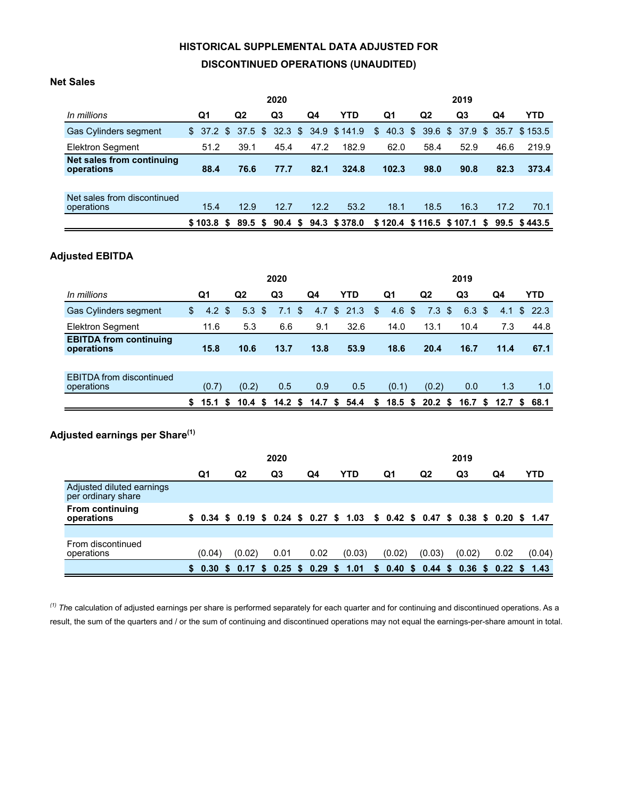# **HISTORICAL SUPPLEMENTAL DATA ADJUSTED FOR DISCONTINUED OPERATIONS (UNAUDITED)**

## **Net Sales**

|                                           |         |    |                | 2020 |      |                                      |              |                   |                | 2019 |  |      |                                          |  |  |  |
|-------------------------------------------|---------|----|----------------|------|------|--------------------------------------|--------------|-------------------|----------------|------|--|------|------------------------------------------|--|--|--|
| In millions                               | Q1      |    | Q <sub>2</sub> | Q3   | Q4   | <b>YTD</b>                           |              | Q1                | Q <sub>2</sub> | Q3   |  | Q4   | <b>YTD</b>                               |  |  |  |
| Gas Cylinders segment                     | \$      |    |                |      |      | 37.2 \$ 37.5 \$ 32.3 \$ 34.9 \$141.9 | $\mathbb{S}$ | $40.3 \text{ } $$ |                |      |  |      | 39.6 \$ 37.9 \$ 35.7 \$153.5             |  |  |  |
| <b>Elektron Segment</b>                   | 51.2    |    | 39.1           | 45.4 | 47.2 | 182.9                                |              | 62.0              | 58.4           | 52.9 |  | 46.6 | 219.9                                    |  |  |  |
| Net sales from continuing<br>operations   | 88.4    |    | 76.6           | 77.7 | 82.1 | 324.8                                |              | 102.3             | 98.0           | 90.8 |  | 82.3 | 373.4                                    |  |  |  |
|                                           |         |    |                |      |      |                                      |              |                   |                |      |  |      |                                          |  |  |  |
| Net sales from discontinued<br>operations | 15.4    |    | 12.9           | 12.7 | 12.2 | 53.2                                 |              | 18.1              | 18.5           | 16.3 |  | 17.2 | 70.1                                     |  |  |  |
|                                           | \$103.8 | S. |                |      |      | 89.5 \$ 90.4 \$ 94.3 \$378.0         |              |                   |                |      |  |      | $$120.4$ \$116.5 \$107.1 \$ 99.5 \$443.5 |  |  |  |
|                                           |         |    |                |      |      |                                      |              |                   |                |      |  |      |                                          |  |  |  |

# **Adjusted EBITDA**

|                                               |    |                    |               |                   | 2020           |                |                      |            |                |                                         |                |                |                | 2019 |      |      |    |            |
|-----------------------------------------------|----|--------------------|---------------|-------------------|----------------|----------------|----------------------|------------|----------------|-----------------------------------------|----------------|----------------|----------------|------|------|------|----|------------|
| In millions                                   |    | Q1                 |               | Q2                | Q <sub>3</sub> |                | Q4                   | <b>YTD</b> |                | Q1                                      |                | Q <sub>2</sub> |                | Q3   |      | Q4   |    | <b>YTD</b> |
| Gas Cylinders segment                         | \$ | 4.2                | $\mathbf{\$}$ | 5.3 <sup>5</sup>  | 7.1            | $\mathfrak{L}$ | 4.7                  | \$21.3     | $\mathfrak{L}$ | 4.6                                     | $\mathfrak{S}$ | 7.3            | $\mathfrak{L}$ | 6.3  | - \$ | 4.1  | S. | - 22.3     |
| Elektron Segment                              |    | 11.6               |               | 5.3               | 6.6            |                | 9.1                  | 32.6       |                | 14.0                                    |                | 13.1           |                | 10.4 |      | 7.3  |    | 44.8       |
| <b>EBITDA from continuing</b><br>operations   |    | 15.8               |               | 10.6              | 13.7           |                | 13.8                 | 53.9       |                | 18.6                                    |                | 20.4           |                | 16.7 |      | 11.4 |    | 67.1       |
|                                               |    |                    |               |                   |                |                |                      |            |                |                                         |                |                |                |      |      |      |    |            |
| <b>EBITDA</b> from discontinued<br>operations |    | (0.7)              |               | (0.2)             | 0.5            |                | 0.9                  | 0.5        |                | (0.1)                                   |                | (0.2)          |                | 0.0  |      | 1.3  |    | 1.0        |
|                                               | S. | $15.1 \text{ }$ \$ |               | $10.4 \text{ } $$ |                |                | 14.2 \$ 14.7 \$ 54.4 |            |                | $$18.5$ \$ 20.2 \$ 16.7 \$ 12.7 \$ 68.1 |                |                |                |      |      |      |    |            |
|                                               |    |                    |               |                   |                |                |                      |            |                |                                         |                |                |                |      |      |      |    |            |

# **Adjusted earnings per Share(1)**

|                                                 |        |                 | 2020           |      |            |                                                                                 |                | 2019   |      |        |
|-------------------------------------------------|--------|-----------------|----------------|------|------------|---------------------------------------------------------------------------------|----------------|--------|------|--------|
|                                                 | Q1     | Q <sub>2</sub>  | Q3             | Q4   | <b>YTD</b> | Q1                                                                              | Q <sub>2</sub> | Q3     | Q4   | YTD    |
| Adjusted diluted earnings<br>per ordinary share |        |                 |                |      |            |                                                                                 |                |        |      |        |
| <b>From continuing</b><br>operations            |        |                 |                |      |            | \$ 0.34 \$ 0.19 \$ 0.24 \$ 0.27 \$ 1.03 \$ 0.42 \$ 0.47 \$ 0.38 \$ 0.20 \$ 1.47 |                |        |      |        |
|                                                 |        |                 |                |      |            |                                                                                 |                |        |      |        |
| From discontinued<br>operations                 | (0.04) | (0.02)          | 0.01           | 0.02 | (0.03)     | (0.02)                                                                          | (0.03)         | (0.02) | 0.02 | (0.04) |
|                                                 |        | \$ 0.30 \$ 0.17 | \$0.25\$0.29\$ |      | 1.01       | $$0.40$$ \$ 0.44 \$ 0.36 \$ 0.22 \$ 1.43                                        |                |        |      |        |

*(1) Th*e calculation of adjusted earnings per share is performed separately for each quarter and for continuing and discontinued operations. As a result, the sum of the quarters and / or the sum of continuing and discontinued operations may not equal the earnings-per-share amount in total.